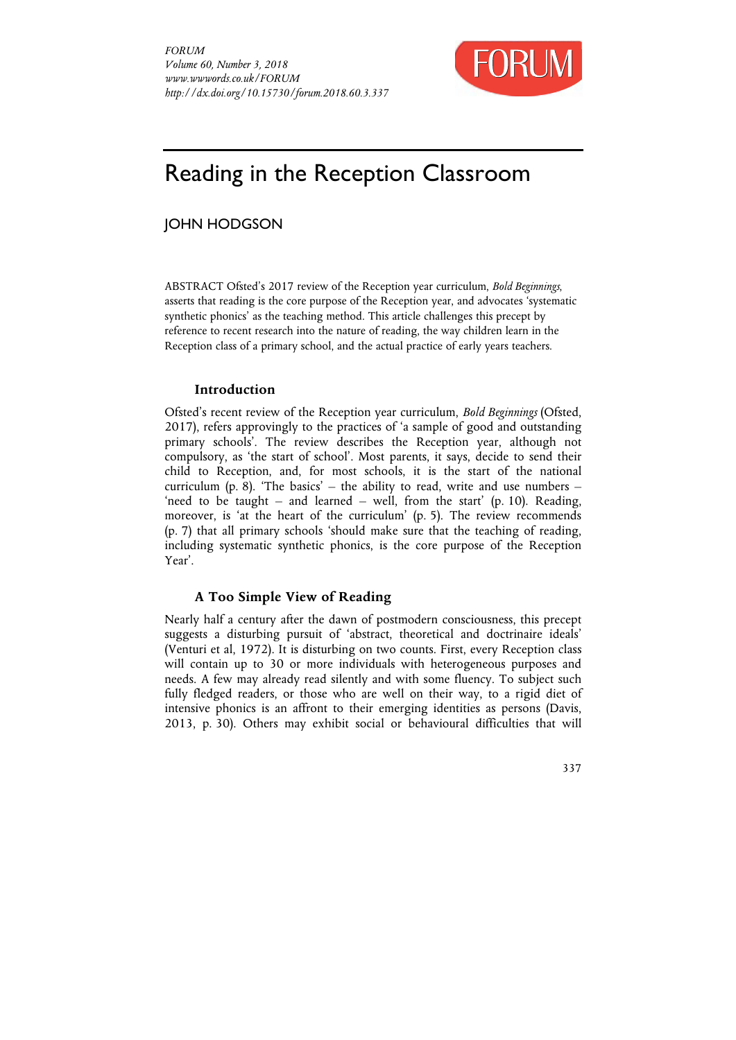

# Reading in the Reception Classroom

## JOHN HODGSON

ABSTRACT Ofsted's 2017 review of the Reception year curriculum, *Bold Beginnings*, asserts that reading is the core purpose of the Reception year, and advocates 'systematic synthetic phonics' as the teaching method. This article challenges this precept by reference to recent research into the nature of reading, the way children learn in the Reception class of a primary school, and the actual practice of early years teachers.

### **Introduction**

Ofsted's recent review of the Reception year curriculum, *Bold Beginnings* (Ofsted, 2017), refers approvingly to the practices of 'a sample of good and outstanding primary schools'. The review describes the Reception year, although not compulsory, as 'the start of school'. Most parents, it says, decide to send their child to Reception, and, for most schools, it is the start of the national curriculum (p. 8). 'The basics' – the ability to read, write and use numbers – 'need to be taught – and learned – well, from the start'  $(p. 10)$ . Reading, moreover, is 'at the heart of the curriculum' (p. 5). The review recommends (p. 7) that all primary schools 'should make sure that the teaching of reading, including systematic synthetic phonics, is the core purpose of the Reception Year'.

## **A Too Simple View of Reading**

Nearly half a century after the dawn of postmodern consciousness, this precept suggests a disturbing pursuit of 'abstract, theoretical and doctrinaire ideals' (Venturi et al, 1972). It is disturbing on two counts. First, every Reception class will contain up to 30 or more individuals with heterogeneous purposes and needs. A few may already read silently and with some fluency. To subject such fully fledged readers, or those who are well on their way, to a rigid diet of intensive phonics is an affront to their emerging identities as persons (Davis, 2013, p. 30). Others may exhibit social or behavioural difficulties that will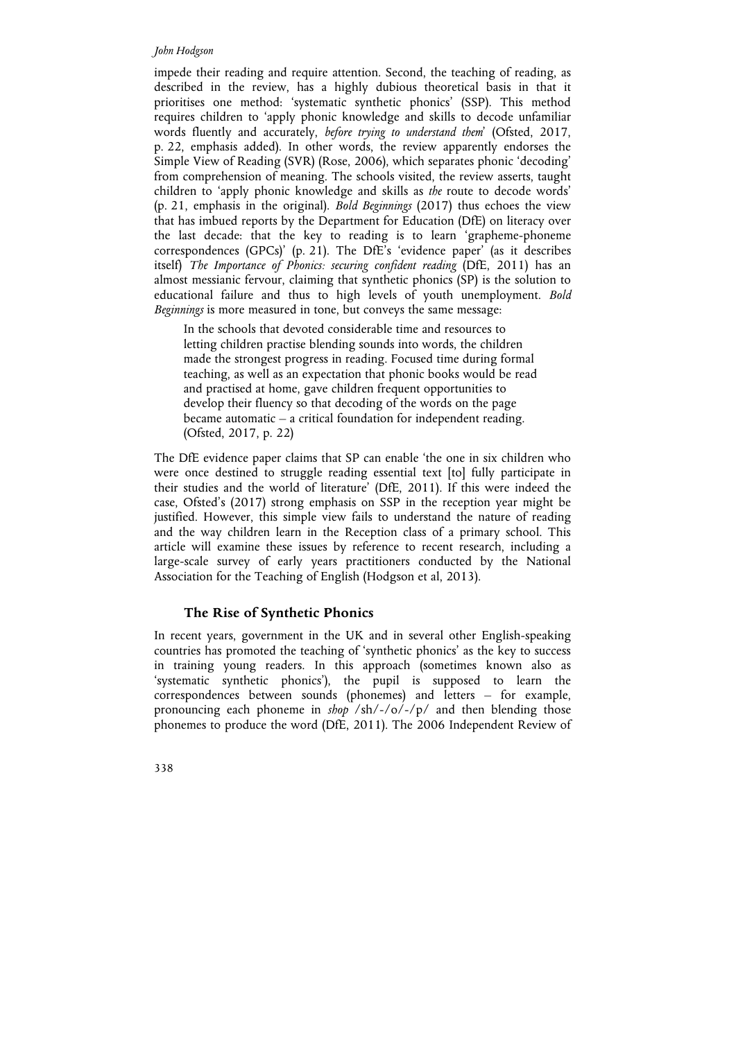#### *John Hodgson*

impede their reading and require attention. Second, the teaching of reading, as described in the review, has a highly dubious theoretical basis in that it prioritises one method: 'systematic synthetic phonics' (SSP). This method requires children to 'apply phonic knowledge and skills to decode unfamiliar words fluently and accurately, *before trying to understand them*' (Ofsted, 2017, p. 22, emphasis added). In other words, the review apparently endorses the Simple View of Reading (SVR) (Rose, 2006), which separates phonic 'decoding' from comprehension of meaning. The schools visited, the review asserts, taught children to 'apply phonic knowledge and skills as *the* route to decode words' (p. 21, emphasis in the original). *Bold Beginnings* (2017) thus echoes the view that has imbued reports by the Department for Education (DfE) on literacy over the last decade: that the key to reading is to learn 'grapheme-phoneme correspondences (GPCs)' (p. 21). The DfE's 'evidence paper' (as it describes itself) *The Importance of Phonics: securing confident reading* (DfE, 2011) has an almost messianic fervour, claiming that synthetic phonics (SP) is the solution to educational failure and thus to high levels of youth unemployment. *Bold Beginnings* is more measured in tone, but conveys the same message:

In the schools that devoted considerable time and resources to letting children practise blending sounds into words, the children made the strongest progress in reading. Focused time during formal teaching, as well as an expectation that phonic books would be read and practised at home, gave children frequent opportunities to develop their fluency so that decoding of the words on the page became automatic – a critical foundation for independent reading. (Ofsted, 2017, p. 22)

The DfE evidence paper claims that SP can enable 'the one in six children who were once destined to struggle reading essential text [to] fully participate in their studies and the world of literature' (DfE, 2011). If this were indeed the case, Ofsted's (2017) strong emphasis on SSP in the reception year might be justified. However, this simple view fails to understand the nature of reading and the way children learn in the Reception class of a primary school. This article will examine these issues by reference to recent research, including a large-scale survey of early years practitioners conducted by the National Association for the Teaching of English (Hodgson et al, 2013).

## **The Rise of Synthetic Phonics**

In recent years, government in the UK and in several other English-speaking countries has promoted the teaching of 'synthetic phonics' as the key to success in training young readers. In this approach (sometimes known also as 'systematic synthetic phonics'), the pupil is supposed to learn the correspondences between sounds (phonemes) and letters – for example, pronouncing each phoneme in *shop* /sh/-/o/-/p/ and then blending those phonemes to produce the word (DfE, 2011). The 2006 Independent Review of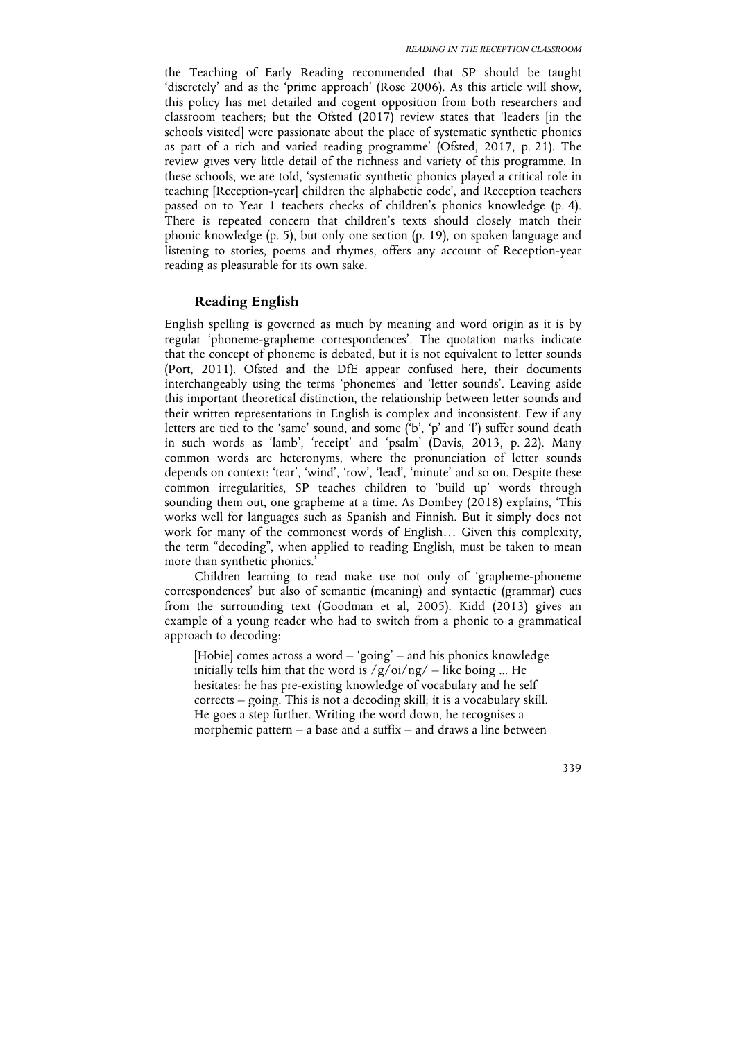the Teaching of Early Reading recommended that SP should be taught 'discretely' and as the 'prime approach' (Rose 2006). As this article will show, this policy has met detailed and cogent opposition from both researchers and classroom teachers; but the Ofsted (2017) review states that 'leaders [in the schools visited] were passionate about the place of systematic synthetic phonics as part of a rich and varied reading programme' (Ofsted, 2017, p. 21). The review gives very little detail of the richness and variety of this programme. In these schools, we are told, 'systematic synthetic phonics played a critical role in teaching [Reception-year] children the alphabetic code', and Reception teachers passed on to Year 1 teachers checks of children's phonics knowledge (p. 4). There is repeated concern that children's texts should closely match their phonic knowledge (p. 5), but only one section (p. 19), on spoken language and listening to stories, poems and rhymes, offers any account of Reception-year reading as pleasurable for its own sake.

## **Reading English**

English spelling is governed as much by meaning and word origin as it is by regular 'phoneme-grapheme correspondences'. The quotation marks indicate that the concept of phoneme is debated, but it is not equivalent to letter sounds (Port, 2011). Ofsted and the DfE appear confused here, their documents interchangeably using the terms 'phonemes' and 'letter sounds'. Leaving aside this important theoretical distinction, the relationship between letter sounds and their written representations in English is complex and inconsistent. Few if any letters are tied to the 'same' sound, and some ('b', 'p' and 'l') suffer sound death in such words as 'lamb', 'receipt' and 'psalm' (Davis, 2013, p. 22). Many common words are heteronyms, where the pronunciation of letter sounds depends on context: 'tear', 'wind', 'row', 'lead', 'minute' and so on. Despite these common irregularities, SP teaches children to 'build up' words through sounding them out, one grapheme at a time. As Dombey (2018) explains, 'This works well for languages such as Spanish and Finnish. But it simply does not work for many of the commonest words of English… Given this complexity, the term "decoding", when applied to reading English, must be taken to mean more than synthetic phonics.'

Children learning to read make use not only of 'grapheme-phoneme correspondences' but also of semantic (meaning) and syntactic (grammar) cues from the surrounding text (Goodman et al, 2005). Kidd (2013) gives an example of a young reader who had to switch from a phonic to a grammatical approach to decoding:

[Hobie] comes across a word – 'going' – and his phonics knowledge initially tells him that the word is  $/g/oi/ng/$  – like boing ... He hesitates: he has pre-existing knowledge of vocabulary and he self corrects – going. This is not a decoding skill; it is a vocabulary skill. He goes a step further. Writing the word down, he recognises a morphemic pattern – a base and a suffix – and draws a line between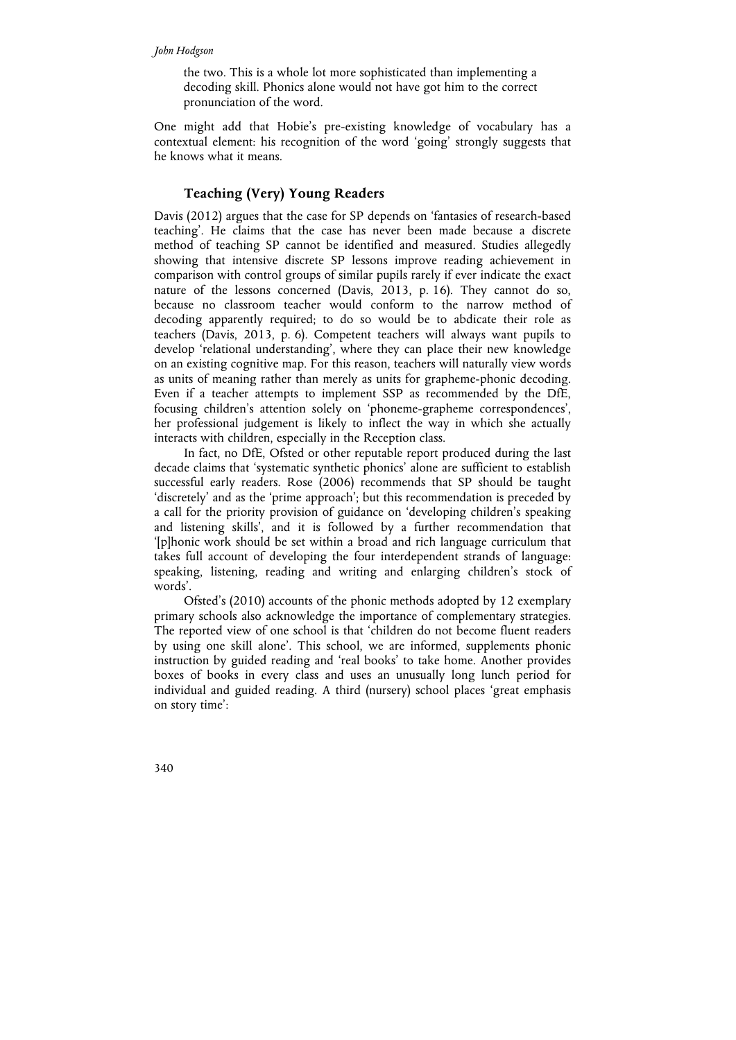#### *John Hodgson*

the two. This is a whole lot more sophisticated than implementing a decoding skill. Phonics alone would not have got him to the correct pronunciation of the word.

One might add that Hobie's pre-existing knowledge of vocabulary has a contextual element: his recognition of the word 'going' strongly suggests that he knows what it means.

## **Teaching (Very) Young Readers**

Davis (2012) argues that the case for SP depends on 'fantasies of research-based teaching'. He claims that the case has never been made because a discrete method of teaching SP cannot be identified and measured. Studies allegedly showing that intensive discrete SP lessons improve reading achievement in comparison with control groups of similar pupils rarely if ever indicate the exact nature of the lessons concerned (Davis, 2013, p. 16). They cannot do so, because no classroom teacher would conform to the narrow method of decoding apparently required; to do so would be to abdicate their role as teachers (Davis, 2013, p. 6). Competent teachers will always want pupils to develop 'relational understanding', where they can place their new knowledge on an existing cognitive map. For this reason, teachers will naturally view words as units of meaning rather than merely as units for grapheme-phonic decoding. Even if a teacher attempts to implement SSP as recommended by the DfE, focusing children's attention solely on 'phoneme-grapheme correspondences', her professional judgement is likely to inflect the way in which she actually interacts with children, especially in the Reception class.

In fact, no DfE, Ofsted or other reputable report produced during the last decade claims that 'systematic synthetic phonics' alone are sufficient to establish successful early readers. Rose (2006) recommends that SP should be taught 'discretely' and as the 'prime approach'; but this recommendation is preceded by a call for the priority provision of guidance on 'developing children's speaking and listening skills', and it is followed by a further recommendation that '[p]honic work should be set within a broad and rich language curriculum that takes full account of developing the four interdependent strands of language: speaking, listening, reading and writing and enlarging children's stock of words'.

Ofsted's (2010) accounts of the phonic methods adopted by 12 exemplary primary schools also acknowledge the importance of complementary strategies. The reported view of one school is that 'children do not become fluent readers by using one skill alone'. This school, we are informed, supplements phonic instruction by guided reading and 'real books' to take home. Another provides boxes of books in every class and uses an unusually long lunch period for individual and guided reading. A third (nursery) school places 'great emphasis on story time':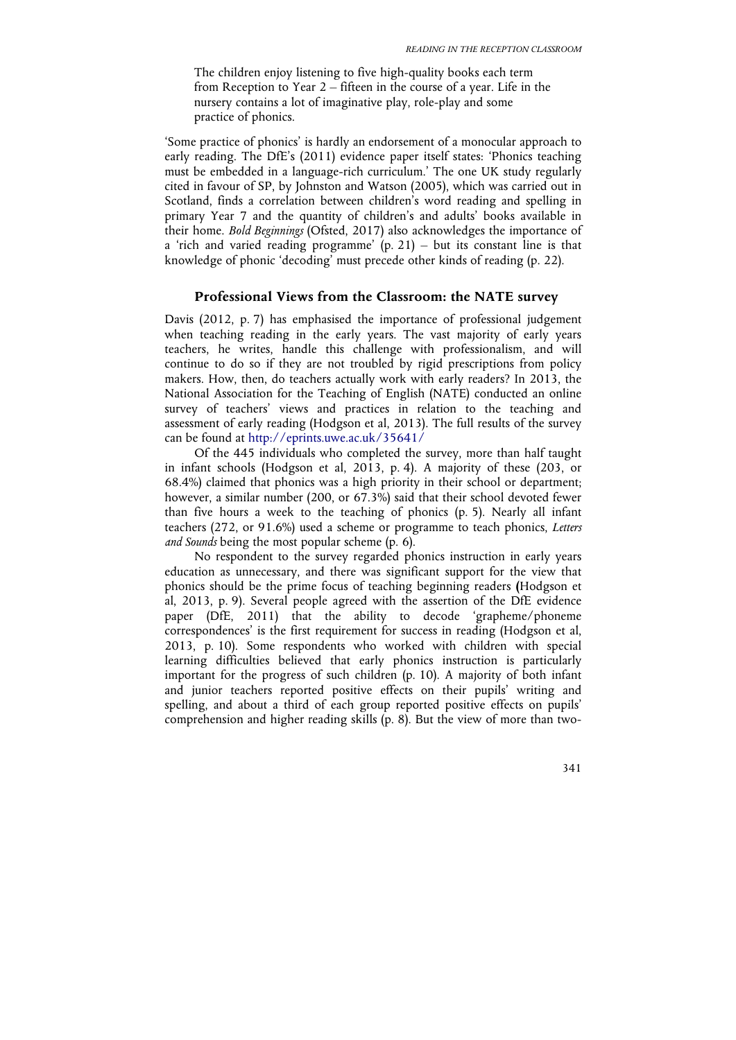The children enjoy listening to five high-quality books each term from Reception to Year 2 – fifteen in the course of a year. Life in the nursery contains a lot of imaginative play, role-play and some practice of phonics.

'Some practice of phonics' is hardly an endorsement of a monocular approach to early reading. The DfE's (2011) evidence paper itself states: 'Phonics teaching must be embedded in a language-rich curriculum.' The one UK study regularly cited in favour of SP, by Johnston and Watson (2005), which was carried out in Scotland, finds a correlation between children's word reading and spelling in primary Year 7 and the quantity of children's and adults' books available in their home. *Bold Beginnings* (Ofsted, 2017) also acknowledges the importance of a 'rich and varied reading programme'  $(p, 21)$  – but its constant line is that knowledge of phonic 'decoding' must precede other kinds of reading (p. 22).

#### **Professional Views from the Classroom: the NATE survey**

Davis (2012, p. 7) has emphasised the importance of professional judgement when teaching reading in the early years. The vast majority of early years teachers, he writes, handle this challenge with professionalism, and will continue to do so if they are not troubled by rigid prescriptions from policy makers. How, then, do teachers actually work with early readers? In 2013, the National Association for the Teaching of English (NATE) conducted an online survey of teachers' views and practices in relation to the teaching and assessment of early reading (Hodgson et al, 2013). The full results of the survey can be found at http://eprints.uwe.ac.uk/35641/

Of the 445 individuals who completed the survey, more than half taught in infant schools (Hodgson et al, 2013, p. 4). A majority of these (203, or 68.4%) claimed that phonics was a high priority in their school or department; however, a similar number (200, or 67.3%) said that their school devoted fewer than five hours a week to the teaching of phonics (p. 5). Nearly all infant teachers (272, or 91.6%) used a scheme or programme to teach phonics, *Letters and Sounds* being the most popular scheme (p. 6).

No respondent to the survey regarded phonics instruction in early years education as unnecessary, and there was significant support for the view that phonics should be the prime focus of teaching beginning readers **(**Hodgson et al, 2013, p. 9). Several people agreed with the assertion of the DfE evidence paper (DfE, 2011) that the ability to decode 'grapheme/phoneme correspondences' is the first requirement for success in reading (Hodgson et al, 2013, p. 10). Some respondents who worked with children with special learning difficulties believed that early phonics instruction is particularly important for the progress of such children (p. 10). A majority of both infant and junior teachers reported positive effects on their pupils' writing and spelling, and about a third of each group reported positive effects on pupils' comprehension and higher reading skills (p. 8). But the view of more than two-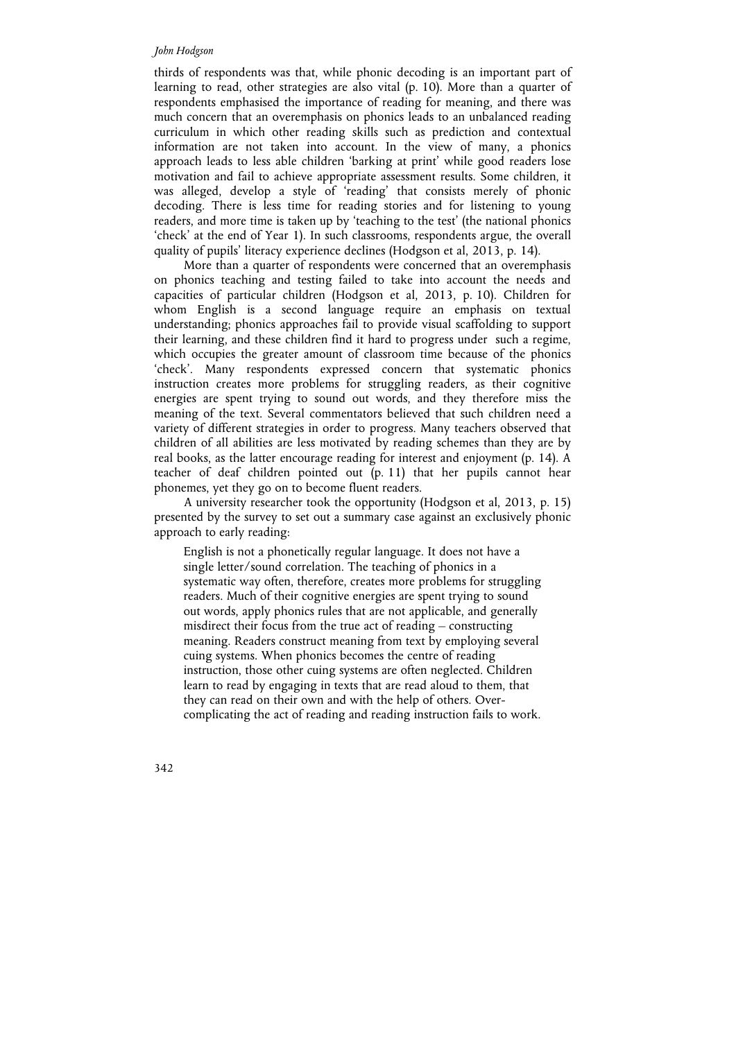#### *John Hodgson*

thirds of respondents was that, while phonic decoding is an important part of learning to read, other strategies are also vital (p. 10). More than a quarter of respondents emphasised the importance of reading for meaning, and there was much concern that an overemphasis on phonics leads to an unbalanced reading curriculum in which other reading skills such as prediction and contextual information are not taken into account. In the view of many, a phonics approach leads to less able children 'barking at print' while good readers lose motivation and fail to achieve appropriate assessment results. Some children, it was alleged, develop a style of 'reading' that consists merely of phonic decoding. There is less time for reading stories and for listening to young readers, and more time is taken up by 'teaching to the test' (the national phonics 'check' at the end of Year 1). In such classrooms, respondents argue, the overall quality of pupils' literacy experience declines (Hodgson et al, 2013, p. 14).

More than a quarter of respondents were concerned that an overemphasis on phonics teaching and testing failed to take into account the needs and capacities of particular children (Hodgson et al, 2013, p. 10). Children for whom English is a second language require an emphasis on textual understanding; phonics approaches fail to provide visual scaffolding to support their learning, and these children find it hard to progress under such a regime, which occupies the greater amount of classroom time because of the phonics 'check'. Many respondents expressed concern that systematic phonics instruction creates more problems for struggling readers, as their cognitive energies are spent trying to sound out words, and they therefore miss the meaning of the text. Several commentators believed that such children need a variety of different strategies in order to progress. Many teachers observed that children of all abilities are less motivated by reading schemes than they are by real books, as the latter encourage reading for interest and enjoyment (p. 14). A teacher of deaf children pointed out (p. 11) that her pupils cannot hear phonemes, yet they go on to become fluent readers.

A university researcher took the opportunity (Hodgson et al, 2013, p. 15) presented by the survey to set out a summary case against an exclusively phonic approach to early reading:

English is not a phonetically regular language. It does not have a single letter/sound correlation. The teaching of phonics in a systematic way often, therefore, creates more problems for struggling readers. Much of their cognitive energies are spent trying to sound out words, apply phonics rules that are not applicable, and generally misdirect their focus from the true act of reading – constructing meaning. Readers construct meaning from text by employing several cuing systems. When phonics becomes the centre of reading instruction, those other cuing systems are often neglected. Children learn to read by engaging in texts that are read aloud to them, that they can read on their own and with the help of others. Overcomplicating the act of reading and reading instruction fails to work.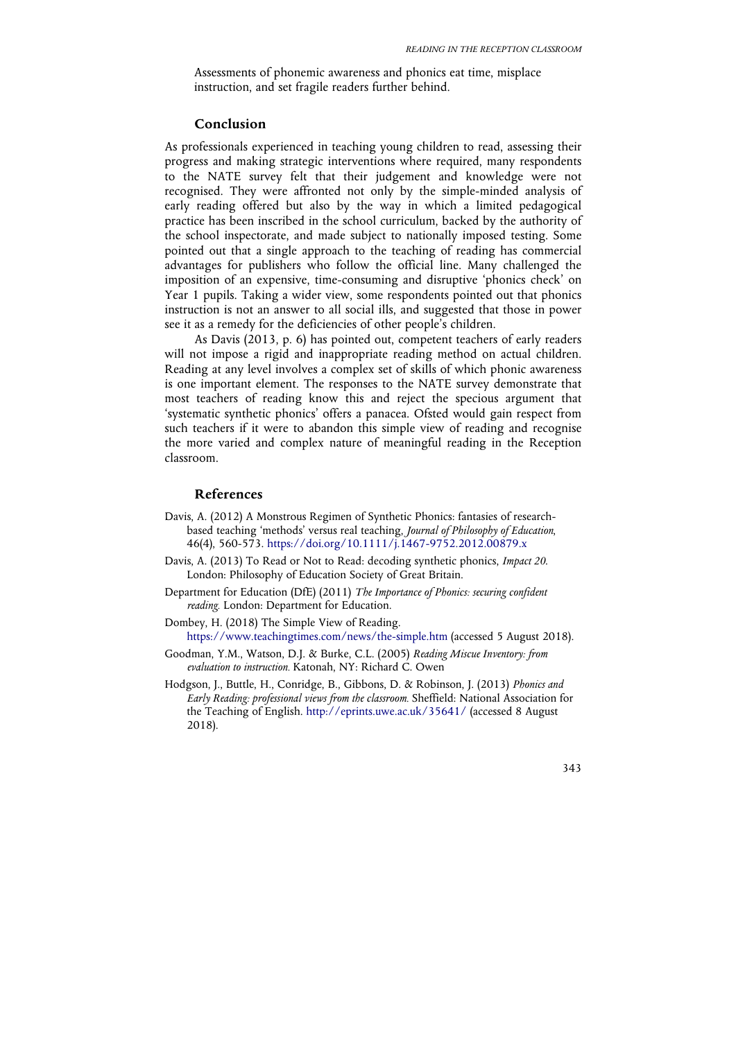Assessments of phonemic awareness and phonics eat time, misplace instruction, and set fragile readers further behind.

#### **Conclusion**

As professionals experienced in teaching young children to read, assessing their progress and making strategic interventions where required, many respondents to the NATE survey felt that their judgement and knowledge were not recognised. They were affronted not only by the simple-minded analysis of early reading offered but also by the way in which a limited pedagogical practice has been inscribed in the school curriculum, backed by the authority of the school inspectorate, and made subject to nationally imposed testing. Some pointed out that a single approach to the teaching of reading has commercial advantages for publishers who follow the official line. Many challenged the imposition of an expensive, time-consuming and disruptive 'phonics check' on Year 1 pupils. Taking a wider view, some respondents pointed out that phonics instruction is not an answer to all social ills, and suggested that those in power see it as a remedy for the deficiencies of other people's children.

As Davis (2013, p. 6) has pointed out, competent teachers of early readers will not impose a rigid and inappropriate reading method on actual children. Reading at any level involves a complex set of skills of which phonic awareness is one important element. The responses to the NATE survey demonstrate that most teachers of reading know this and reject the specious argument that 'systematic synthetic phonics' offers a panacea. Ofsted would gain respect from such teachers if it were to abandon this simple view of reading and recognise the more varied and complex nature of meaningful reading in the Reception classroom.

#### **References**

- Davis, A. (2012) A Monstrous Regimen of Synthetic Phonics: fantasies of researchbased teaching 'methods' versus real teaching, *Journal of Philosophy of Education*, 46(4), 560-573. https://doi.org/10.1111/j.1467-9752.2012.00879.x
- Davis, A. (2013) To Read or Not to Read: decoding synthetic phonics, *Impact 20*. London: Philosophy of Education Society of Great Britain.
- Department for Education (DfE) (2011) *The Importance of Phonics: securing confident reading.* London: Department for Education.
- Dombey, H. (2018) The Simple View of Reading. https://www.teachingtimes.com/news/the-simple.htm (accessed 5 August 2018).
- Goodman, Y.M., Watson, D.J. & Burke, C.L. (2005) *Reading Miscue Inventory: from evaluation to instruction.* Katonah, NY: Richard C. Owen
- Hodgson, J., Buttle, H., Conridge, B., Gibbons, D. & Robinson, J. (2013) *Phonics and Early Reading: professional views from the classroom.* Sheffield: National Association for the Teaching of English. http://eprints.uwe.ac.uk/35641/ (accessed 8 August 2018).